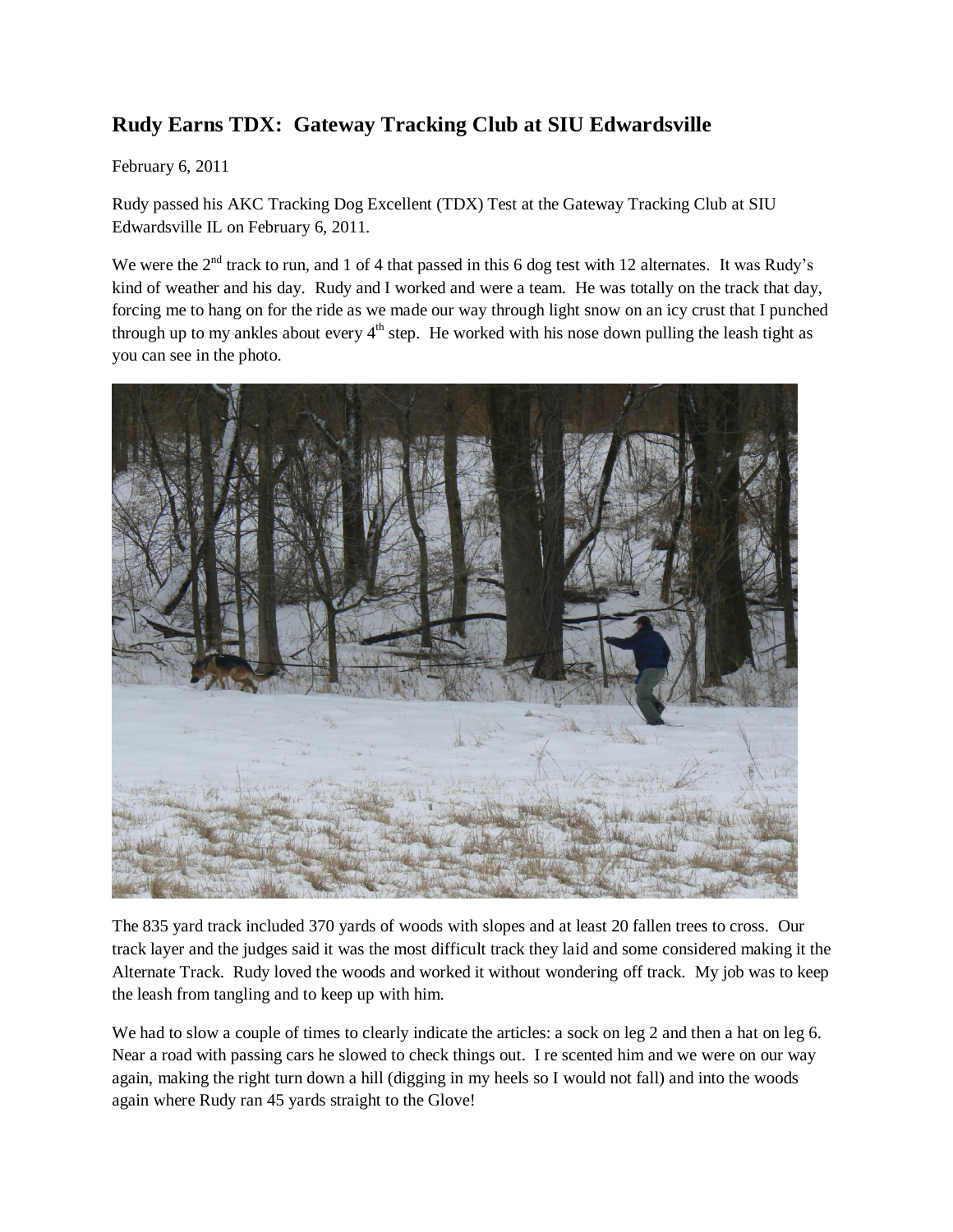## **Rudy Earns TDX: Gateway Tracking Club at SIU Edwardsville**

February 6, 2011

Rudy passed his AKC Tracking Dog Excellent (TDX) Test at the Gateway Tracking Club at SIU Edwardsville IL on February 6, 2011.

We were the  $2<sup>nd</sup>$  track to run, and 1 of 4 that passed in this 6 dog test with 12 alternates. It was Rudy's kind of weather and his day. Rudy and I worked and were a team. He was totally on the track that day, forcing me to hang on for the ride as we made our way through light snow on an icy crust that I punched through up to my ankles about every  $4<sup>th</sup>$  step. He worked with his nose down pulling the leash tight as you can see in the photo.



The 835 yard track included 370 yards of woods with slopes and at least 20 fallen trees to cross. Our track layer and the judges said it was the most difficult track they laid and some considered making it the Alternate Track. Rudy loved the woods and worked it without wondering off track. My job was to keep the leash from tangling and to keep up with him.

We had to slow a couple of times to clearly indicate the articles: a sock on leg 2 and then a hat on leg 6. Near a road with passing cars he slowed to check things out. I re scented him and we were on our way again, making the right turn down a hill (digging in my heels so I would not fall) and into the woods again where Rudy ran 45 yards straight to the Glove!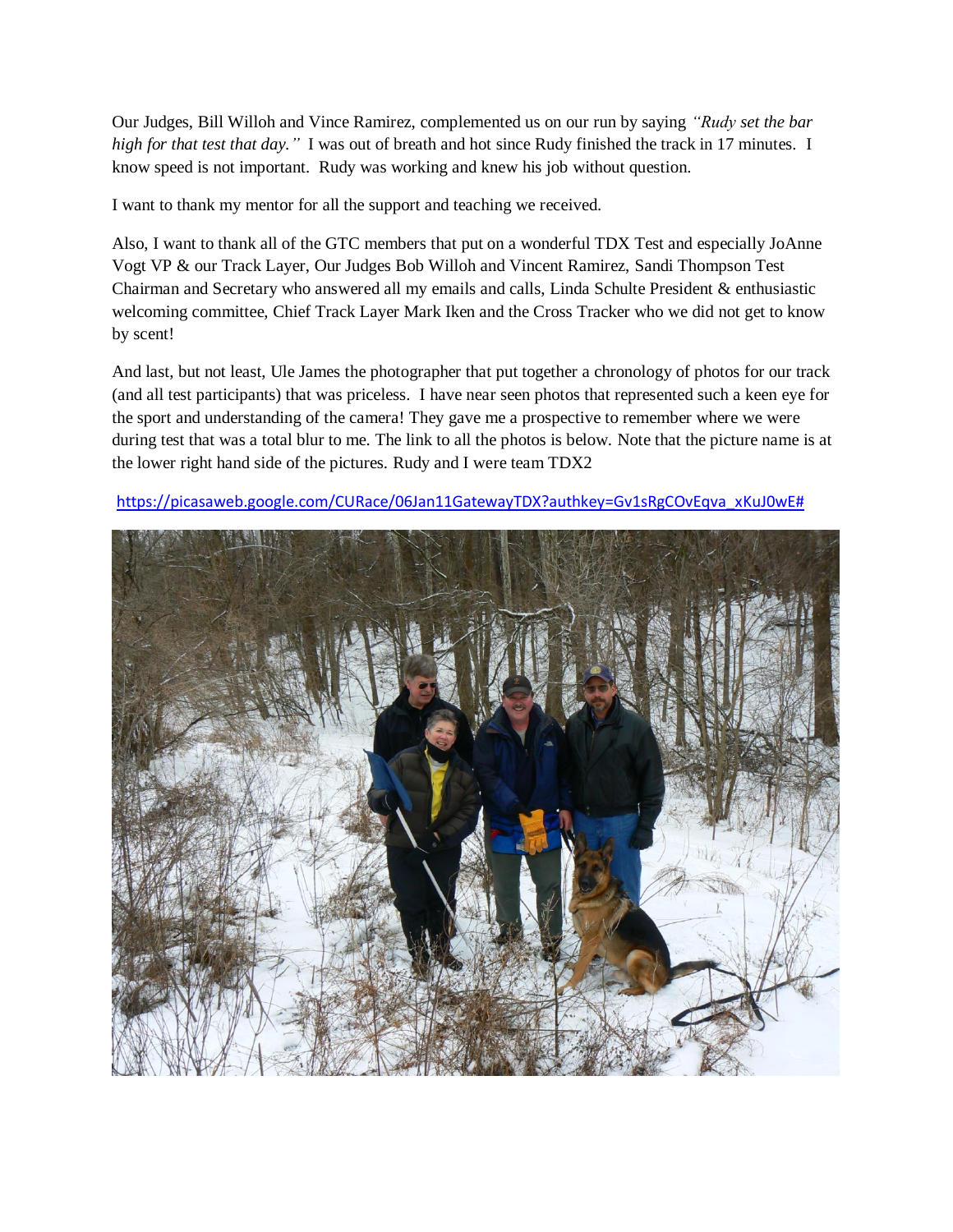Our Judges, Bill Willoh and Vince Ramirez, complemented us on our run by saying *"Rudy set the bar high for that test that day."* I was out of breath and hot since Rudy finished the track in 17 minutes. I know speed is not important. Rudy was working and knew his job without question.

I want to thank my mentor for all the support and teaching we received.

Also, I want to thank all of the GTC members that put on a wonderful TDX Test and especially JoAnne Vogt VP & our Track Layer, Our Judges Bob Willoh and Vincent Ramirez, Sandi Thompson Test Chairman and Secretary who answered all my emails and calls, Linda Schulte President & enthusiastic welcoming committee, Chief Track Layer Mark Iken and the Cross Tracker who we did not get to know by scent!

And last, but not least, Ule James the photographer that put together a chronology of photos for our track (and all test participants) that was priceless. I have near seen photos that represented such a keen eye for the sport and understanding of the camera! They gave me a prospective to remember where we were during test that was a total blur to me. The link to all the photos is below. Note that the picture name is at the lower right hand side of the pictures. Rudy and I were team TDX2



[https://picasaweb.google.com/CURace/06Jan11GatewayTDX?authkey=Gv1sRgCOvEqva\\_xKuJ0wE#](https://picasaweb.google.com/CURace/06Jan11GatewayTDX?authkey=Gv1sRgCOvEqva_xKuJ0wE)